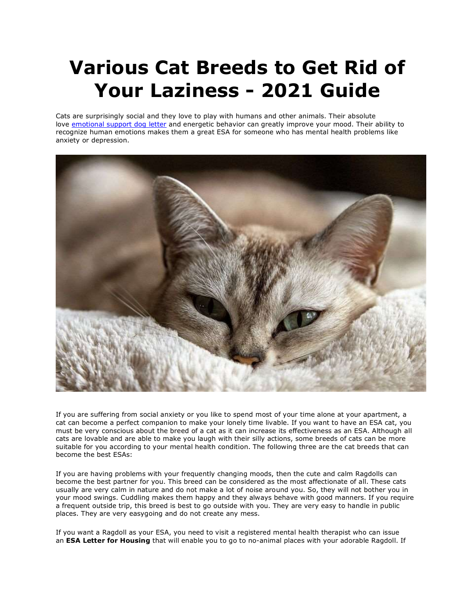## **Various Cat Breeds to Get Rid of Your Laziness - 2021 Guide**

Cats are surprisingly social and they love to play with humans and other animals. Their absolute love [emotional support dog letter](https://www.realesaletter.com/sample-esa-letter) and energetic behavior can greatly improve your mood. Their ability to recognize human emotions makes them a great ESA for someone who has mental health problems like anxiety or depression.



If you are suffering from social anxiety or you like to spend most of your time alone at your apartment, a cat can become a perfect companion to make your lonely time livable. If you want to have an ESA cat, you must be very conscious about the breed of a cat as it can increase its effectiveness as an ESA. Although all cats are lovable and are able to make you laugh with their silly actions, some breeds of cats can be more suitable for you according to your mental health condition. The following three are the cat breeds that can become the best ESAs:

If you are having problems with your frequently changing moods, then the cute and calm Ragdolls can become the best partner for you. This breed can be considered as the most affectionate of all. These cats usually are very calm in nature and do not make a lot of noise around you. So, they will not bother you in your mood swings. Cuddling makes them happy and they always behave with good manners. If you require a frequent outside trip, this breed is best to go outside with you. They are very easy to handle in public places. They are very easygoing and do not create any mess.

If you want a Ragdoll as your ESA, you need to visit a registered mental health therapist who can issue an **ESA Letter for Housing** that will enable you to go to no-animal places with your adorable Ragdoll. If